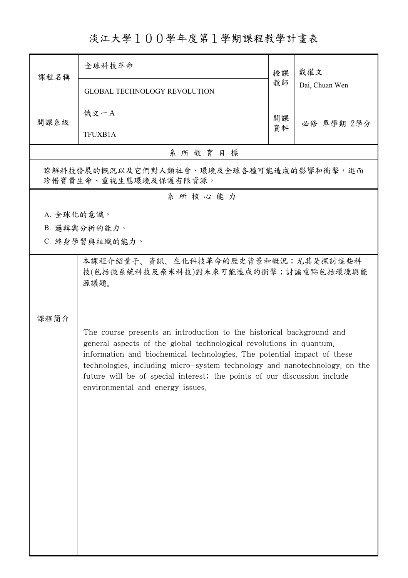淡江大學100學年度第1學期課程教學計畫表

| 課程名稱                                                                                                                                                                                                                                                                                                                                                                                                                         | 全球科技革命                                                                             | 授課 | 戴權文<br>Dai, Chuan Wen |  |  |  |
|------------------------------------------------------------------------------------------------------------------------------------------------------------------------------------------------------------------------------------------------------------------------------------------------------------------------------------------------------------------------------------------------------------------------------|------------------------------------------------------------------------------------|----|-----------------------|--|--|--|
|                                                                                                                                                                                                                                                                                                                                                                                                                              | <b>GLOBAL TECHNOLOGY REVOLUTION</b>                                                | 教師 |                       |  |  |  |
| 開課系級                                                                                                                                                                                                                                                                                                                                                                                                                         | 俄文一A                                                                               | 開課 | 必修 單學期 2學分            |  |  |  |
|                                                                                                                                                                                                                                                                                                                                                                                                                              | 資料<br>TFUXB1A                                                                      |    |                       |  |  |  |
| 系所教育目標                                                                                                                                                                                                                                                                                                                                                                                                                       |                                                                                    |    |                       |  |  |  |
| 瞭解科技發展的概況以及它們對人類社會、環境及全球各種可能造成的影響和衝擊,進而<br>珍惜寶貴生命、重視生態環境及保護有限資源。                                                                                                                                                                                                                                                                                                                                                             |                                                                                    |    |                       |  |  |  |
| 系所核心能力                                                                                                                                                                                                                                                                                                                                                                                                                       |                                                                                    |    |                       |  |  |  |
| A. 全球化的意識。                                                                                                                                                                                                                                                                                                                                                                                                                   |                                                                                    |    |                       |  |  |  |
|                                                                                                                                                                                                                                                                                                                                                                                                                              | B. 邏輯與分析的能力。                                                                       |    |                       |  |  |  |
|                                                                                                                                                                                                                                                                                                                                                                                                                              | C. 終身學習與組織的能力。                                                                     |    |                       |  |  |  |
|                                                                                                                                                                                                                                                                                                                                                                                                                              | 本課程介紹量子、資訊、生化科技革命的歷史背景和概況;尤其是探討這些科<br>技(包括微系統科技及奈米科技)對未來可能造成的衝擊;討論重點包括環境與能<br>源議題。 |    |                       |  |  |  |
| 課程簡介<br>The course presents an introduction to the historical background and<br>general aspects of the global technological revolutions in quantum.<br>information and biochemical technologies. The potential impact of these<br>technologies, including micro-system technology and nanotechnology, on the<br>future will be of special interest; the points of our discussion include<br>environmental and energy issues. |                                                                                    |    |                       |  |  |  |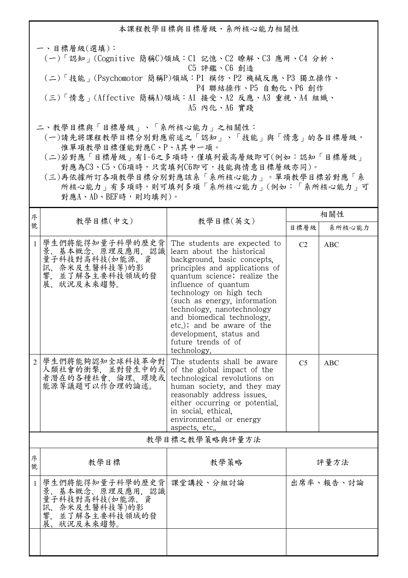本課程教學目標與目標層級、系所核心能力相關性

一、目標層級(選填): (一)「認知」(Cognitive 簡稱C)領域:C1 記憶、C2 瞭解、C3 應用、C4 分析、 C5 評鑑、C6 創造 (二)「技能」(Psychomotor 簡稱P)領域:P1 模仿、P2 機械反應、P3 獨立操作、 P4 聯結操作、P5 自動化、P6 創作 (三)「情意」(Affective 簡稱A)領域:A1 接受、A2 反應、A3 重視、A4 組織、 A5 內化、A6 實踐

二、教學目標與「目標層級」、「系所核心能力」之相關性:

 (一)請先將課程教學目標分別對應前述之「認知」、「技能」與「情意」的各目標層級, 惟單項教學目標僅能對應C、P、A其中一項。

 (二)若對應「目標層級」有1~6之多項時,僅填列最高層級即可(例如:認知「目標層級」 對應為C3、C5、C6項時,只需填列C6即可,技能與情意目標層級亦同)。

 (三)再依據所訂各項教學目標分別對應該系「系所核心能力」。單項教學目標若對應「系 所核心能力」有多項時,則可填列多項「系所核心能力」(例如:「系所核心能力」可 對應A、AD、BEF時,則均填列)。

| 系所核心能力         |  |  |  |  |  |  |
|----------------|--|--|--|--|--|--|
|                |  |  |  |  |  |  |
|                |  |  |  |  |  |  |
|                |  |  |  |  |  |  |
| 教學目標之教學策略與評量方法 |  |  |  |  |  |  |
| 評量方法           |  |  |  |  |  |  |
| 出席率、報告、討論      |  |  |  |  |  |  |
|                |  |  |  |  |  |  |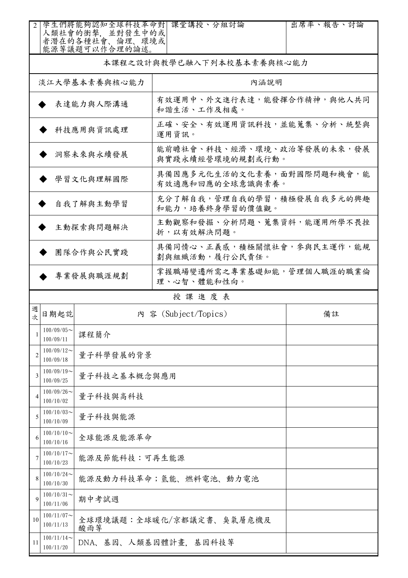|               |                            | 人類社會的衝擊, 並對發生中的或<br>者潛在的各種社會、倫理、環境或<br>能源等議題可以作合理的論述。 | 學生們將能夠認知全球科技革命對  課堂講授、分組討論                     | 出席率、報告、討論 |  |  |
|---------------|----------------------------|-------------------------------------------------------|------------------------------------------------|-----------|--|--|
|               | 本課程之設計與教學已融入下列本校基本素養與核心能力  |                                                       |                                                |           |  |  |
| 淡江大學基本素養與核心能力 |                            |                                                       | 內涵說明                                           |           |  |  |
|               | 表達能力與人際溝通                  |                                                       | 有效運用中、外文進行表達,能發揮合作精神,與他人共同<br>和諧生活、工作及相處。      |           |  |  |
|               |                            | 科技應用與資訊處理                                             | 正確、安全、有效運用資訊科技,並能蒐集、分析、統整與<br>運用資訊。            |           |  |  |
|               |                            | 洞察未來與永續發展                                             | 能前瞻社會、科技、經濟、環境、政治等發展的未來,發展<br>與實踐永續經營環境的規劃或行動。 |           |  |  |
|               |                            | 學習文化與理解國際                                             | 具備因應多元化生活的文化素養,面對國際問題和機會,能<br>有效適應和回應的全球意識與素養。 |           |  |  |
|               |                            | 自我了解與主動學習                                             | 充分了解自我,管理自我的學習,積極發展自我多元的興趣<br>和能力,培養終身學習的價值觀。  |           |  |  |
|               |                            | 主動探索與問題解決                                             | 主動觀察和發掘、分析問題、蒐集資料,能運用所學不畏挫<br>折,以有效解決問題。       |           |  |  |
| 團隊合作與公民實踐     |                            |                                                       | 具備同情心、正義感,積極關懷社會,參與民主運作,能規<br>劃與組織活動,履行公民責任。   |           |  |  |
| 專業發展與職涯規劃     |                            |                                                       | 掌握職場變遷所需之專業基礎知能,管理個人職涯的職業倫<br>理、心智、體能和性向。      |           |  |  |
|               |                            |                                                       |                                                |           |  |  |
|               |                            |                                                       | 授課進度表                                          |           |  |  |
| 週<br>坎        | 日期起訖                       |                                                       | 內 容 (Subject/Topics)                           | 備註        |  |  |
| 1             | $100/09/05$ ~<br>100/09/11 | 課程簡介                                                  |                                                |           |  |  |
| 2             | $100/09/12$ ~<br>100/09/18 | 量子科學發展的背景                                             |                                                |           |  |  |
| 3             | $100/09/19$ ~<br>100/09/25 | 量子科技之基本概念與應用                                          |                                                |           |  |  |
| 4             | $100/09/26$ ~<br>100/10/02 | 量子科技與高科技                                              |                                                |           |  |  |
| 5             | $100/10/03$ ~<br>100/10/09 | 量子科技與能源                                               |                                                |           |  |  |
| 6             | $100/10/10$ ~<br>100/10/16 | 全球能源及能源革命                                             |                                                |           |  |  |
| 7             | $100/10/17$ ~<br>100/10/23 | 能源及節能科技:可再生能源                                         |                                                |           |  |  |
| 8             | $100/10/24$ ~<br>100/10/30 |                                                       | 能源及動力科技革命;氫能、燃料電池、動力電池                         |           |  |  |
| 9             | $100/10/31$ ~<br>100/11/06 | 期中考試週                                                 |                                                |           |  |  |
| 10            | $100/11/07$ ~<br>100/11/13 | 酸雨等                                                   | 全球環境議題:全球暖化/京都議定書、臭氣層危機及                       |           |  |  |